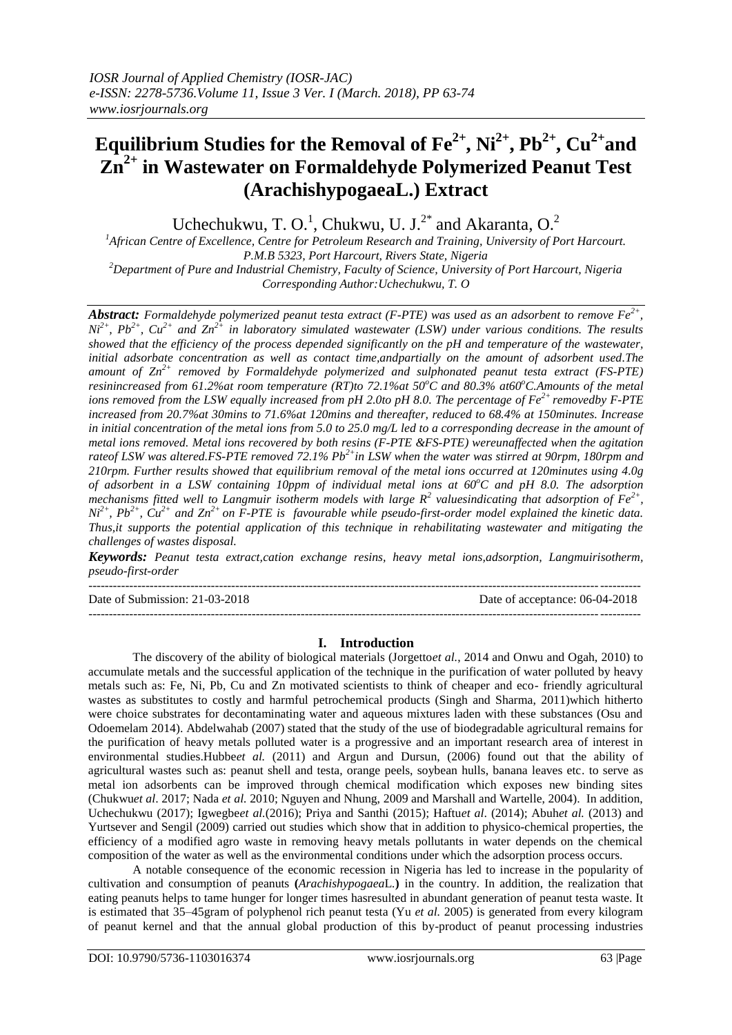# **Equilibrium Studies for the Removal of Fe2+, Ni2+, Pb2+, Cu2+and Zn2+ in Wastewater on Formaldehyde Polymerized Peanut Test (ArachishypogaeaL.) Extract**

Uchechukwu, T. O.<sup>1</sup>, Chukwu, U. J.<sup>2\*</sup> and Akaranta, O.<sup>2</sup>

*<sup>1</sup>African Centre of Excellence, Centre for Petroleum Research and Training, University of Port Harcourt. P.M.B 5323, Port Harcourt, Rivers State, Nigeria*

*<sup>2</sup>Department of Pure and Industrial Chemistry, Faculty of Science, University of Port Harcourt, Nigeria Corresponding Author:Uchechukwu, T. O*

*Abstract: Formaldehyde polymerized peanut testa extract (F-PTE) was used as an adsorbent to remove Fe2+ ,*   $Ni^{2+}$ ,  $Pb^{2+}$ ,  $Cu^{2+}$  *and*  $Zn^{2+}$  *in laboratory simulated wastewater (LSW) under various conditions. The results showed that the efficiency of the process depended significantly on the pH and temperature of the wastewater, initial adsorbate concentration as well as contact time,andpartially on the amount of adsorbent used.The amount of Zn2+ removed by Formaldehyde polymerized and sulphonated peanut testa extract (FS-PTE) resinincreased from 61.2%at room temperature (RT)to 72.1%at 50<sup>o</sup>C and 80.3% at60<sup>o</sup>C.Amounts of the metal ions removed from the LSW equally increased from pH 2.0to pH 8.0. The percentage of Fe2+ removedby F-PTE increased from 20.7%at 30mins to 71.6%at 120mins and thereafter, reduced to 68.4% at 150minutes. Increase in initial concentration of the metal ions from 5.0 to 25.0 mg/L led to a corresponding decrease in the amount of metal ions removed. Metal ions recovered by both resins (F-PTE &FS-PTE) wereunaffected when the agitation rateof LSW was altered.FS-PTE removed 72.1% Pb2+in LSW when the water was stirred at 90rpm, 180rpm and 210rpm. Further results showed that equilibrium removal of the metal ions occurred at 120minutes using 4.0g of adsorbent in a LSW containing 10ppm of individual metal ions at 60<sup>o</sup>C and pH 8.0. The adsorption mechanisms fitted well to Langmuir isotherm models with large*  $R^2$  *valuesindicating that adsorption of*  $Fe^{2+}$ *,*  $Ni^{2+}$ ,  $Pb^{2+}$ ,  $Cu^{2+}$  and  $Zn^{2+}$  on F-PTE is favourable while pseudo-first-order model explained the kinetic data. *Thus,it supports the potential application of this technique in rehabilitating wastewater and mitigating the challenges of wastes disposal.*

*Keywords: Peanut testa extract,cation exchange resins, heavy metal ions,adsorption, Langmuirisotherm, pseudo-first-order* 

--------------------------------------------------------------------------------------------------------------------------------------- Date of Submission: 21-03-2018 Date of acceptance: 06-04-2018 ---------------------------------------------------------------------------------------------------------------------------------------

## **I. Introduction**

The discovery of the ability of biological materials (Jorgetto*et al.*, 2014 and Onwu and Ogah, 2010) to accumulate metals and the successful application of the technique in the purification of water polluted by heavy metals such as: Fe, Ni, Pb, Cu and Zn motivated scientists to think of cheaper and eco- friendly agricultural wastes as substitutes to costly and harmful petrochemical products (Singh and Sharma, 2011)which hitherto were choice substrates for decontaminating water and aqueous mixtures laden with these substances (Osu and Odoemelam 2014). Abdelwahab (2007) stated that the study of the use of biodegradable agricultural remains for the purification of heavy metals polluted water is a progressive and an important research area of interest in environmental studies.Hubbe*et al.* (2011) and Argun and Dursun, (2006) found out that the ability of agricultural wastes such as: peanut shell and testa, orange peels, soybean hulls, banana leaves etc. to serve as metal ion adsorbents can be improved through chemical modification which exposes new binding sites (Chukwu*et al*. 2017; Nada *et al.* 2010; Nguyen and Nhung, 2009 and Marshall and Wartelle, 2004). In addition, Uchechukwu (2017); Igwegbe*et al.*(2016); Priya and Santhi (2015); Haftu*et al*. (2014); Abuh*et al.* (2013) and Yurtsever and Sengil (2009) carried out studies which show that in addition to physico-chemical properties, the efficiency of a modified agro waste in removing heavy metals pollutants in water depends on the chemical composition of the water as well as the environmental conditions under which the adsorption process occurs.

A notable consequence of the economic recession in Nigeria has led to increase in the popularity of cultivation and consumption of peanuts **(***Arachishypogaea*L*.***)** in the country. In addition, the realization that eating peanuts helps to tame hunger for longer times hasresulted in abundant generation of peanut testa waste. It is estimated that 35–45gram of polyphenol rich peanut testa (Yu *et al.* 2005) is generated from every kilogram of peanut kernel and that the annual global production of this by-product of peanut processing industries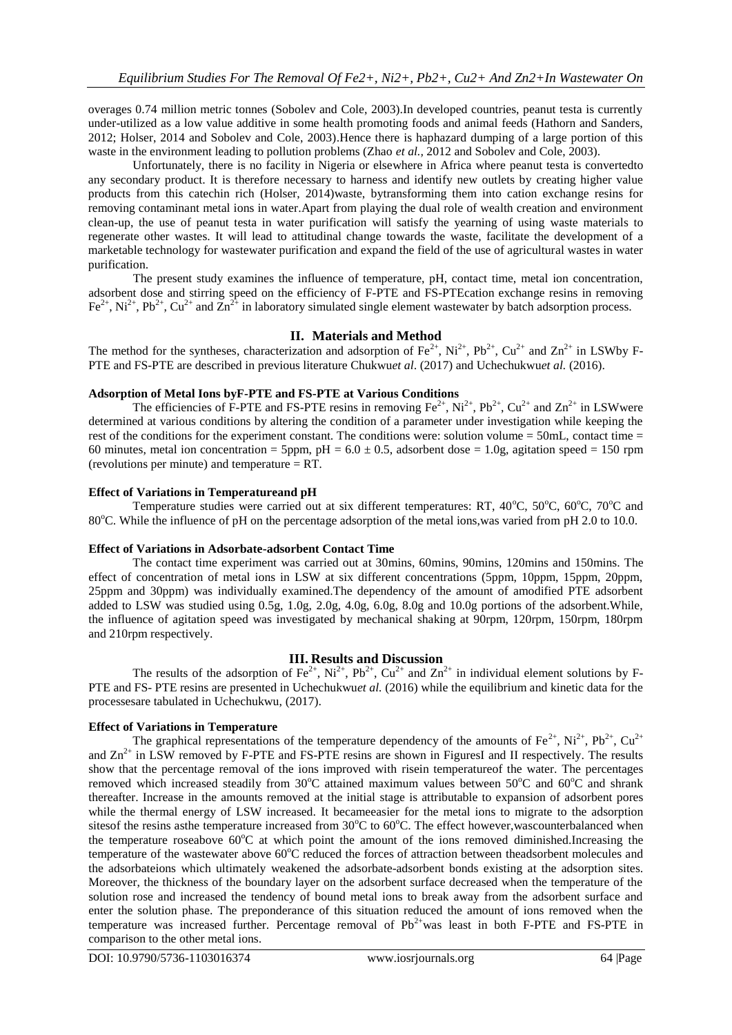overages 0.74 million metric tonnes (Sobolev and Cole, 2003).In developed countries, peanut testa is currently under-utilized as a low value additive in some health promoting foods and animal feeds (Hathorn and Sanders, 2012; Holser, 2014 and Sobolev and Cole, 2003).Hence there is haphazard dumping of a large portion of this waste in the environment leading to pollution problems (Zhao *et al.,* 2012 and Sobolev and Cole, 2003).

Unfortunately, there is no facility in Nigeria or elsewhere in Africa where peanut testa is convertedto any secondary product. It is therefore necessary to harness and identify new outlets by creating higher value products from this catechin rich (Holser, 2014)waste, bytransforming them into cation exchange resins for removing contaminant metal ions in water.Apart from playing the dual role of wealth creation and environment clean-up, the use of peanut testa in water purification will satisfy the yearning of using waste materials to regenerate other wastes. It will lead to attitudinal change towards the waste, facilitate the development of a marketable technology for wastewater purification and expand the field of the use of agricultural wastes in water purification.

The present study examines the influence of temperature, pH, contact time, metal ion concentration, adsorbent dose and stirring speed on the efficiency of F-PTE and FS-PTEcation exchange resins in removing  $\text{Fe}^{2+}$ , Ni<sup>2+</sup>, Pb<sup>2+</sup>, Cu<sup>2+</sup> and  $\text{Zn}^{2+}$  in laboratory simulated single element wastewater by batch adsorption process.

#### **II. Materials and Method**

The method for the syntheses, characterization and adsorption of  $Fe^{2+}$ , Ni<sup>2+</sup>, Pb<sup>2+</sup>, Cu<sup>2+</sup> and Zn<sup>2+</sup> in LSWby F-PTE and FS-PTE are described in previous literature Chukwu*et al*. (2017) and Uchechukwu*et al.* (2016).

#### **Adsorption of Metal Ions byF-PTE and FS-PTE at Various Conditions**

The efficiencies of F-PTE and FS-PTE resins in removing  $Fe^{2+}$ ,  $Ni^{2+}$ ,  $Pb^{2+}$ ,  $Cu^{2+}$  and  $Zn^{2+}$  in LSWwere determined at various conditions by altering the condition of a parameter under investigation while keeping the rest of the conditions for the experiment constant. The conditions were: solution volume = 50mL, contact time = 60 minutes, metal ion concentration = 5ppm, pH =  $6.0 \pm 0.5$ , adsorbent dose = 1.0g, agitation speed = 150 rpm (revolutions per minute) and temperature = RT*.*

#### **Effect of Variations in Temperatureand pH**

Temperature studies were carried out at six different temperatures: RT,  $40^{\circ}$ C,  $50^{\circ}$ C,  $60^{\circ}$ C,  $70^{\circ}$ C and 80<sup>o</sup>C. While the influence of pH on the percentage adsorption of the metal ions, was varied from pH 2.0 to 10.0.

#### **Effect of Variations in Adsorbate-adsorbent Contact Time**

The contact time experiment was carried out at 30mins, 60mins, 90mins, 120mins and 150mins. The effect of concentration of metal ions in LSW at six different concentrations (5ppm, 10ppm, 15ppm, 20ppm, 25ppm and 30ppm) was individually examined.The dependency of the amount of amodified PTE adsorbent added to LSW was studied using 0.5g, 1.0g, 2.0g, 4.0g, 6.0g, 8.0g and 10.0g portions of the adsorbent.While, the influence of agitation speed was investigated by mechanical shaking at 90rpm, 120rpm, 150rpm, 180rpm and 210rpm respectively.

#### **III. Results and Discussion**

The results of the adsorption of  $Fe^{2+}$ ,  $Ni^{2+}$ ,  $Pb^{2+}$ ,  $Cu^{2+}$  and  $Zn^{2+}$  in individual element solutions by F-PTE and FS- PTE resins are presented in Uchechukwu*et al.* (2016) while the equilibrium and kinetic data for the processesare tabulated in Uchechukwu, (2017).

#### **Effect of Variations in Temperature**

The graphical representations of the temperature dependency of the amounts of Fe<sup>2+</sup>, Ni<sup>2+</sup>, Pb<sup>2+</sup>, Cu<sup>2+</sup> and  $Zn^{2+}$  in LSW removed by F-PTE and FS-PTE resins are shown in FiguresI and II respectively. The results show that the percentage removal of the ions improved with risein temperatureof the water. The percentages removed which increased steadily from  $30^{\circ}$ C attained maximum values between  $50^{\circ}$ C and  $60^{\circ}$ C and shrank thereafter. Increase in the amounts removed at the initial stage is attributable to expansion of adsorbent pores while the thermal energy of LSW increased. It becameeasier for the metal ions to migrate to the adsorption sitesof the resins asthe temperature increased from 30°C to 60°C. The effect however, was counterbalanced when the temperature roseabove  $60^{\circ}$ C at which point the amount of the ions removed diminished.Increasing the temperature of the wastewater above  $60^{\circ}$ C reduced the forces of attraction between theadsorbent molecules and the adsorbateions which ultimately weakened the adsorbate-adsorbent bonds existing at the adsorption sites. Moreover, the thickness of the boundary layer on the adsorbent surface decreased when the temperature of the solution rose and increased the tendency of bound metal ions to break away from the adsorbent surface and enter the solution phase. The preponderance of this situation reduced the amount of ions removed when the temperature was increased further. Percentage removal of  $Pb^{2+}$ was least in both F-PTE and FS-PTE in comparison to the other metal ions.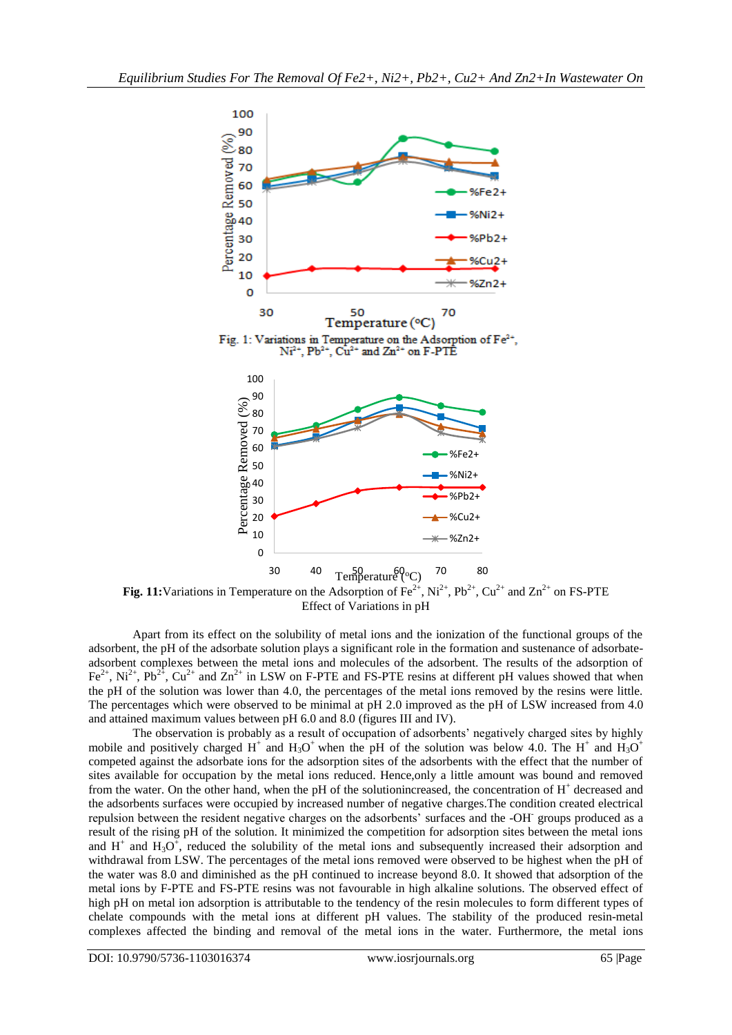

**Fig. 11:**Variations in Temperature on the Adsorption of  $Fe^{2+}$ ,  $Ni^{2+}$ ,  $Pb^{2+}$ ,  $Cu^{2+}$  and  $Zn^{2+}$  on FS-PTE Effect of Variations in pH

Apart from its effect on the solubility of metal ions and the ionization of the functional groups of the adsorbent, the pH of the adsorbate solution plays a significant role in the formation and sustenance of adsorbateadsorbent complexes between the metal ions and molecules of the adsorbent. The results of the adsorption of  $Fe^{2+}$ , Ni<sup>2+</sup>, Pb<sup>2+</sup>, Cu<sup>2+</sup> and Zn<sup>2+</sup> in LSW on F-PTE and FS-PTE resins at different pH values showed that when the pH of the solution was lower than 4.0, the percentages of the metal ions removed by the resins were little. The percentages which were observed to be minimal at pH 2.0 improved as the pH of LSW increased from 4.0 and attained maximum values between pH 6.0 and 8.0 (figures III and IV).

The observation is probably as a result of occupation of adsorbents' negatively charged sites by highly mobile and positively charged H<sup>+</sup> and H<sub>3</sub>O<sup>+</sup> when the pH of the solution was below 4.0. The H<sup>+</sup> and H<sub>3</sub>O<sup>+</sup> competed against the adsorbate ions for the adsorption sites of the adsorbents with the effect that the number of sites available for occupation by the metal ions reduced. Hence,only a little amount was bound and removed from the water. On the other hand, when the pH of the solutionincreased, the concentration of  $H^+$  decreased and the adsorbents surfaces were occupied by increased number of negative charges.The condition created electrical repulsion between the resident negative charges on the adsorbents' surfaces and the -OH<sup>-</sup> groups produced as a result of the rising pH of the solution. It minimized the competition for adsorption sites between the metal ions and  $H^+$  and  $H_3O^+$ , reduced the solubility of the metal ions and subsequently increased their adsorption and withdrawal from LSW. The percentages of the metal ions removed were observed to be highest when the pH of the water was 8.0 and diminished as the pH continued to increase beyond 8.0. It showed that adsorption of the metal ions by F-PTE and FS-PTE resins was not favourable in high alkaline solutions. The observed effect of high pH on metal ion adsorption is attributable to the tendency of the resin molecules to form different types of chelate compounds with the metal ions at different pH values. The stability of the produced resin-metal complexes affected the binding and removal of the metal ions in the water. Furthermore, the metal ions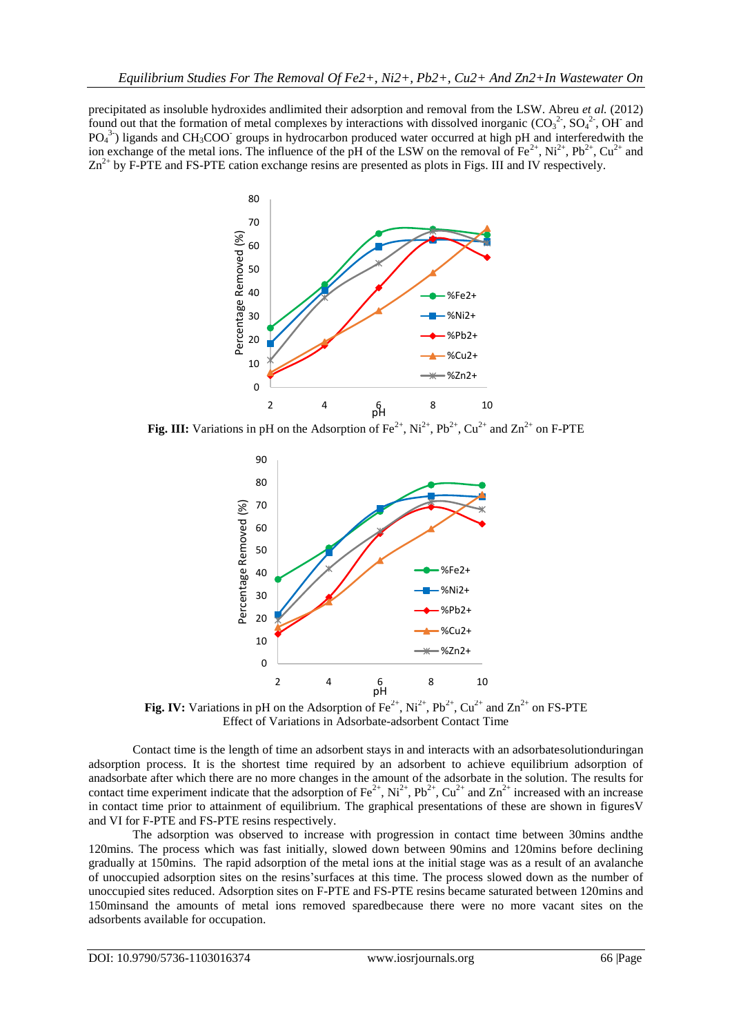precipitated as insoluble hydroxides andlimited their adsorption and removal from the LSW. Abreu *et al.* (2012) found out that the formation of metal complexes by interactions with dissolved inorganic  $(CO_3^2, SO_4^2, OH^-$  and  $PO<sub>4</sub><sup>3</sup>$ ) ligands and CH<sub>3</sub>COO<sup>-</sup> groups in hydrocarbon produced water occurred at high pH and interferedwith the ion exchange of the metal ions. The influence of the pH of the LSW on the removal of  $Fe^{2+}$ , Ni<sup>2+</sup>, Pb<sup>2+</sup>, Cu<sup>2+</sup> and  $Zn^{2+}$  by F-PTE and FS-PTE cation exchange resins are presented as plots in Figs. III and IV respectively.



**Fig. III:** Variations in pH on the Adsorption of Fe<sup>2+</sup>, Ni<sup>2+</sup>, Pb<sup>2+</sup>, Cu<sup>2+</sup> and Zn<sup>2+</sup> on F-PTE



**Fig. IV:** Variations in pH on the Adsorption of  $Fe^{2+}$ ,  $Ni^{2+}$ ,  $Pb^{2+}$ ,  $Cu^{2+}$  and  $Zn^{2+}$  on FS-PTE Effect of Variations in Adsorbate-adsorbent Contact Time

Contact time is the length of time an adsorbent stays in and interacts with an adsorbatesolutionduringan adsorption process. It is the shortest time required by an adsorbent to achieve equilibrium adsorption of anadsorbate after which there are no more changes in the amount of the adsorbate in the solution. The results for contact time experiment indicate that the adsorption of  $Fe^{2+}$ ,  $Ni^{2+}$ ,  $Pb^{2+}$ ,  $Cu^{2+}$  and  $Zn^{2+}$  increased with an increase in contact time prior to attainment of equilibrium. The graphical presentations of these are shown in figuresV and VI for F-PTE and FS-PTE resins respectively.

The adsorption was observed to increase with progression in contact time between 30mins andthe 120mins. The process which was fast initially, slowed down between 90mins and 120mins before declining gradually at 150mins. The rapid adsorption of the metal ions at the initial stage was as a result of an avalanche of unoccupied adsorption sites on the resins'surfaces at this time. The process slowed down as the number of unoccupied sites reduced. Adsorption sites on F-PTE and FS-PTE resins became saturated between 120mins and 150minsand the amounts of metal ions removed sparedbecause there were no more vacant sites on the adsorbents available for occupation.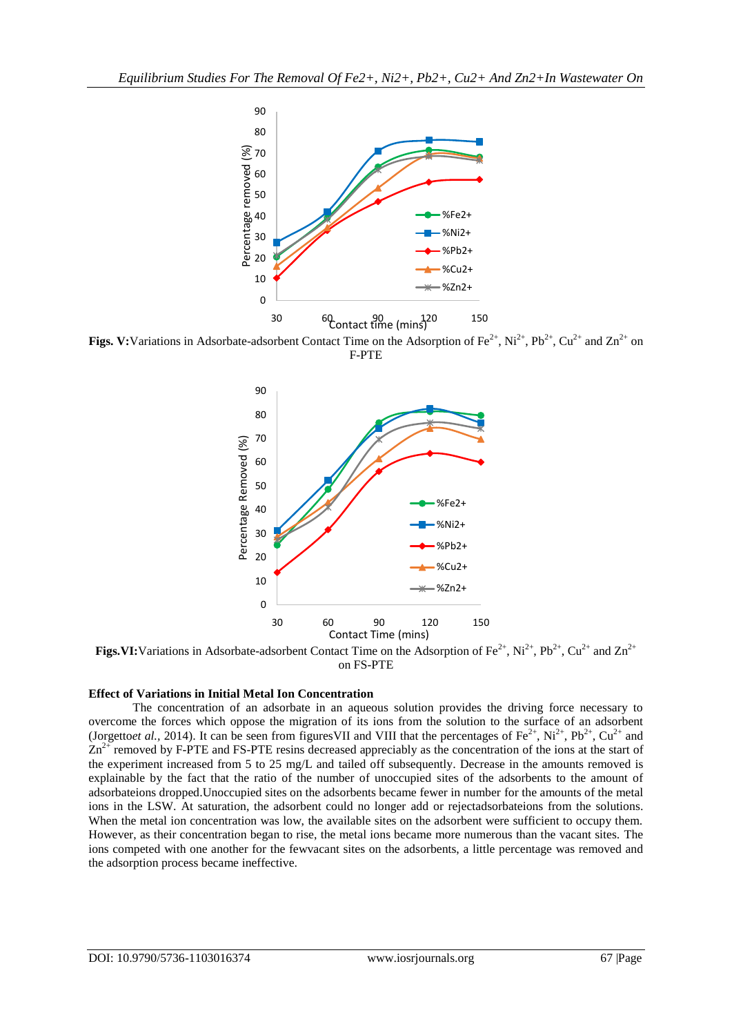

**Figs. V:**Variations in Adsorbate-adsorbent Contact Time on the Adsorption of  $Fe^{2+}$ ,  $Ni^{2+}$ ,  $Pb^{2+}$ ,  $Cu^{2+}$  and  $Zn^{2+}$  on F-PTE



**Figs.VI:**Variations in Adsorbate-adsorbent Contact Time on the Adsorption of Fe<sup>2+</sup>, Ni<sup>2+</sup>, Pb<sup>2+</sup>, Cu<sup>2+</sup> and Zn<sup>2+</sup> on FS-PTE

#### **Effect of Variations in Initial Metal Ion Concentration**

The concentration of an adsorbate in an aqueous solution provides the driving force necessary to overcome the forces which oppose the migration of its ions from the solution to the surface of an adsorbent (Jorgetto*et al.*, 2014). It can be seen from figures VII and VIII that the percentages of  $Fe^{2+}$ ,  $Ni^{2+}$ ,  $Pb^{2+}$ ,  $Cu^{2+}$  and  $Zn^{2+}$  removed by F-PTE and FS-PTE resins decreased appreciably as the concentration of the ions at the start of the experiment increased from 5 to 25 mg/L and tailed off subsequently. Decrease in the amounts removed is explainable by the fact that the ratio of the number of unoccupied sites of the adsorbents to the amount of adsorbateions dropped.Unoccupied sites on the adsorbents became fewer in number for the amounts of the metal ions in the LSW. At saturation, the adsorbent could no longer add or rejectadsorbateions from the solutions. When the metal ion concentration was low, the available sites on the adsorbent were sufficient to occupy them. However, as their concentration began to rise, the metal ions became more numerous than the vacant sites. The ions competed with one another for the fewvacant sites on the adsorbents, a little percentage was removed and the adsorption process became ineffective.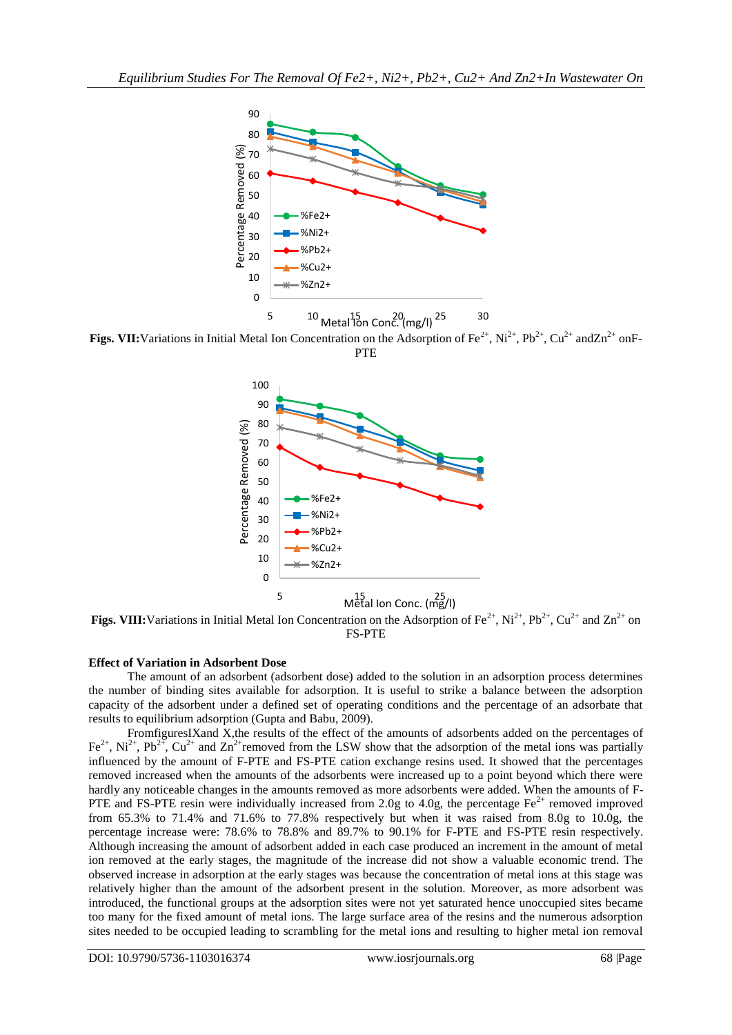

5  $10$  Metal 15n Conc. (mg/l)  $25$  30

**Figs. VII:**Variations in Initial Metal Ion Concentration on the Adsorption of Fe<sup>2+</sup>, Ni<sup>2+</sup>, Pb<sup>2+</sup>, Cu<sup>2+</sup> andZn<sup>2+</sup> onF-PTE



**Figs. VIII:** Variations in Initial Metal Ion Concentration on the Adsorption of Fe<sup>2+</sup>, Ni<sup>2+</sup>, Pb<sup>2+</sup>, Cu<sup>2+</sup> and Zn<sup>2+</sup> on FS-PTE

# **Effect of Variation in Adsorbent Dose**

The amount of an adsorbent (adsorbent dose) added to the solution in an adsorption process determines the number of binding sites available for adsorption. It is useful to strike a balance between the adsorption capacity of the adsorbent under a defined set of operating conditions and the percentage of an adsorbate that results to equilibrium adsorption (Gupta and Babu, 2009).

FromfiguresIXand X,the results of the effect of the amounts of adsorbents added on the percentages of Fe<sup>2+</sup>, Ni<sup>2+</sup>, Pb<sup>2+</sup>, Cu<sup>2+</sup> and Zn<sup>2+</sup>removed from the LSW show that the adsorption of the metal ions was partially influenced by the amount of F-PTE and FS-PTE cation exchange resins used. It showed that the percentages removed increased when the amounts of the adsorbents were increased up to a point beyond which there were hardly any noticeable changes in the amounts removed as more adsorbents were added. When the amounts of F-PTE and FS-PTE resin were individually increased from 2.0g to 4.0g, the percentage  $Fe^{2+}$  removed improved from 65.3% to 71.4% and 71.6% to 77.8% respectively but when it was raised from 8.0g to 10.0g, the percentage increase were: 78.6% to 78.8% and 89.7% to 90.1% for F-PTE and FS-PTE resin respectively. Although increasing the amount of adsorbent added in each case produced an increment in the amount of metal ion removed at the early stages, the magnitude of the increase did not show a valuable economic trend. The observed increase in adsorption at the early stages was because the concentration of metal ions at this stage was relatively higher than the amount of the adsorbent present in the solution. Moreover, as more adsorbent was introduced, the functional groups at the adsorption sites were not yet saturated hence unoccupied sites became too many for the fixed amount of metal ions. The large surface area of the resins and the numerous adsorption sites needed to be occupied leading to scrambling for the metal ions and resulting to higher metal ion removal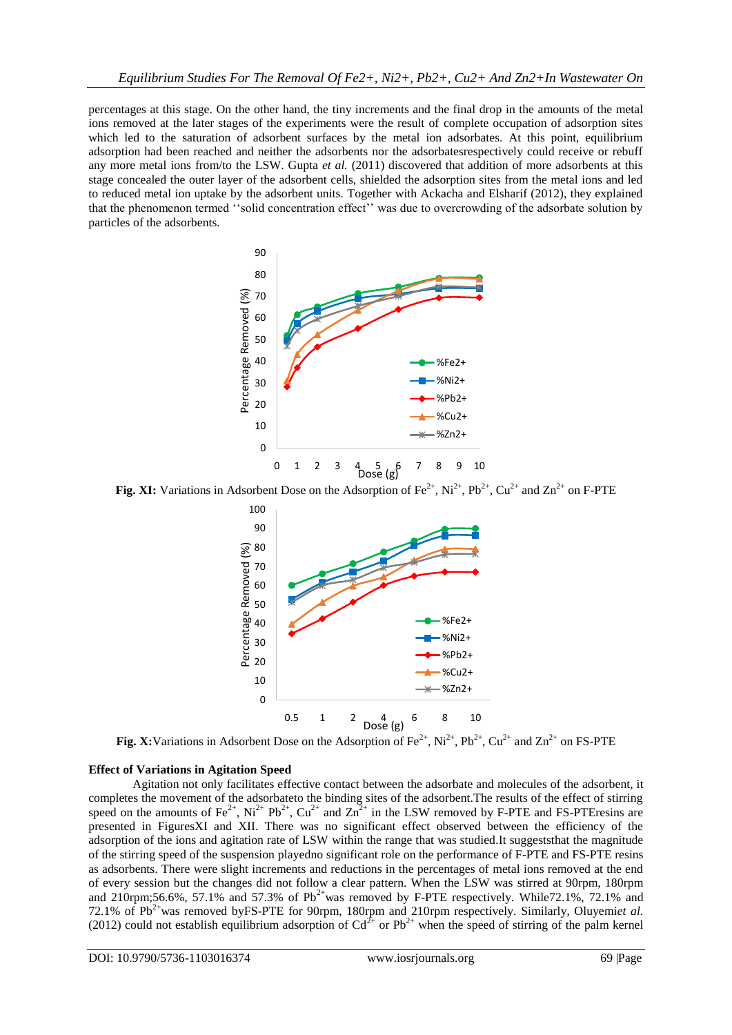percentages at this stage. On the other hand, the tiny increments and the final drop in the amounts of the metal ions removed at the later stages of the experiments were the result of complete occupation of adsorption sites which led to the saturation of adsorbent surfaces by the metal ion adsorbates. At this point, equilibrium adsorption had been reached and neither the adsorbents nor the adsorbatesrespectively could receive or rebuff any more metal ions from/to the LSW. Gupta *et al.* (2011) discovered that addition of more adsorbents at this stage concealed the outer layer of the adsorbent cells, shielded the adsorption sites from the metal ions and led to reduced metal ion uptake by the adsorbent units. Together with Ackacha and Elsharif (2012), they explained that the phenomenon termed ''solid concentration effect'' was due to overcrowding of the adsorbate solution by particles of the adsorbents.



**Fig. XI:** Variations in Adsorbent Dose on the Adsorption of  $Fe^{2+}$ ,  $Ni^{2+}$ ,  $Pb^{2+}$ ,  $Cu^{2+}$  and  $Zn^{2+}$  on F-PTE



**Fig. X:**Variations in Adsorbent Dose on the Adsorption of  $Fe^{2+}$ ,  $Ni^{2+}$ ,  $Pb^{2+}$ ,  $Cu^{2+}$  and  $Zn^{2+}$  on FS-PTE

## **Effect of Variations in Agitation Speed**

Agitation not only facilitates effective contact between the adsorbate and molecules of the adsorbent, it completes the movement of the adsorbateto the binding sites of the adsorbent.The results of the effect of stirring speed on the amounts of Fe<sup>2+</sup>, Ni<sup>2+</sup> Pb<sup>2+</sup>, Cu<sup>2+</sup> and  $\text{Zn}^{2+}$  in the LSW removed by F-PTE and FS-PTEresins are presented in FiguresXI and XII. There was no significant effect observed between the efficiency of the adsorption of the ions and agitation rate of LSW within the range that was studied.It suggeststhat the magnitude of the stirring speed of the suspension playedno significant role on the performance of F-PTE and FS-PTE resins as adsorbents. There were slight increments and reductions in the percentages of metal ions removed at the end of every session but the changes did not follow a clear pattern. When the LSW was stirred at 90rpm, 180rpm and 210rpm;56.6%, 57.1% and 57.3% of  $Pb^{2+}$ was removed by F-PTE respectively. While72.1%, 72.1% and 72.1% of Pb2+was removed byFS-PTE for 90rpm, 180rpm and 210rpm respectively. Similarly, Oluyemi*et al.* (2012) could not establish equilibrium adsorption of  $Cd^{2+}$  or  $Pb^{2+}$  when the speed of stirring of the palm kernel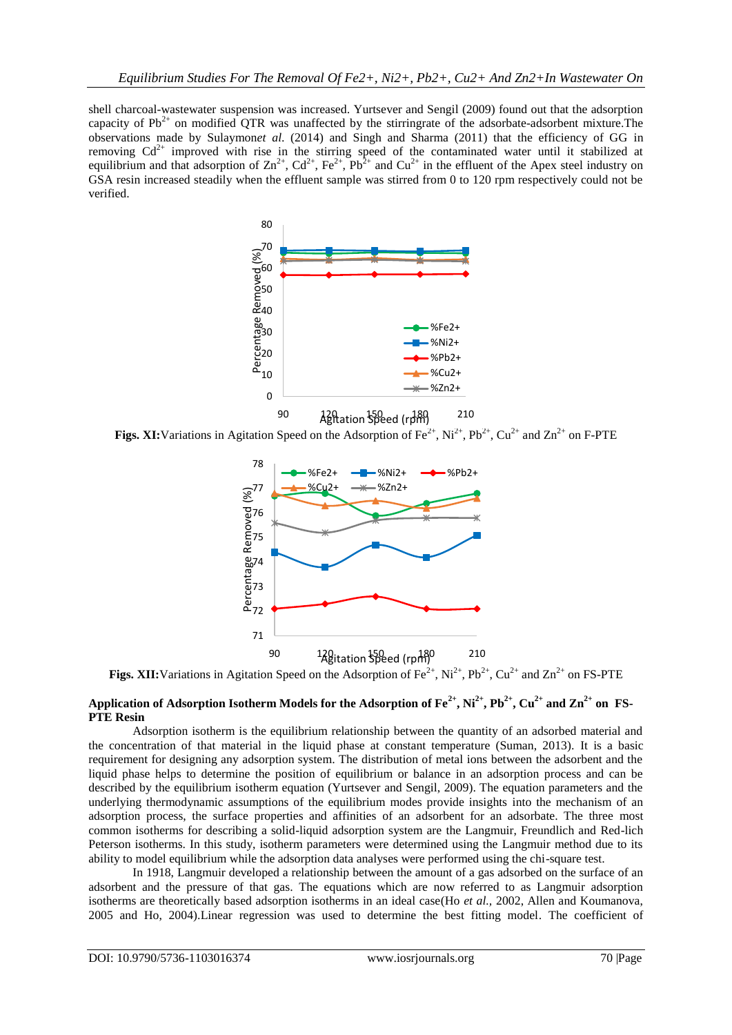shell charcoal-wastewater suspension was increased. Yurtsever and Sengil (2009) found out that the adsorption capacity of  $Pb^{2+}$  on modified QTR was unaffected by the stirringrate of the adsorbate-adsorbent mixture. The observations made by Sulaymon*et al*. (2014) and Singh and Sharma (2011) that the efficiency of GG in removing  $Cd^{2+}$  improved with rise in the stirring speed of the contaminated water until it stabilized at equilibrium and that adsorption of  $\text{Zn}^{2+}$ ,  $\text{Cd}^{2+}$ ,  $\text{Fe}^{2+}$ ,  $\text{Pb}^{2+}$  and  $\text{Cu}^{2+}$  in the effluent of the Apex steel industry on GSA resin increased steadily when the effluent sample was stirred from 0 to 120 rpm respectively could not be verified.



**Figs. XI:**Variations in Agitation Speed on the Adsorption of  $Fe^{2+}$ ,  $Ni^{2+}$ ,  $Pb^{2+}$ ,  $Cu^{2+}$  and  $Zn^{2+}$  on F-PTE



**Figs. XII:**Variations in Agitation Speed on the Adsorption of  $Fe^{2+}$ ,  $Ni^{2+}$ ,  $Pb^{2+}$ ,  $Cu^{2+}$  and  $Zn^{2+}$  on FS-PTE

# **Application of Adsorption Isotherm Models for the Adsorption of**  $Fe^{2+}$ **,**  $Ni^{2+}$ **,**  $Pb^{2+}$ **,**  $Cu^{2+}$  **and**  $Zn^{2+}$  **on FS-PTE Resin**

Adsorption isotherm is the equilibrium relationship between the quantity of an adsorbed material and the concentration of that material in the liquid phase at constant temperature (Suman, 2013). It is a basic requirement for designing any adsorption system. The distribution of metal ions between the adsorbent and the liquid phase helps to determine the position of equilibrium or balance in an adsorption process and can be described by the equilibrium isotherm equation (Yurtsever and Sengil, 2009). The equation parameters and the underlying thermodynamic assumptions of the equilibrium modes provide insights into the mechanism of an adsorption process, the surface properties and affinities of an adsorbent for an adsorbate. The three most common isotherms for describing a solid-liquid adsorption system are the Langmuir, Freundlich and Red-lich Peterson isotherms. In this study, isotherm parameters were determined using the Langmuir method due to its ability to model equilibrium while the adsorption data analyses were performed using the chi-square test.

In 1918, Langmuir developed a relationship between the amount of a gas adsorbed on the surface of an adsorbent and the pressure of that gas. The equations which are now referred to as Langmuir adsorption isotherms are theoretically based adsorption isotherms in an ideal case(Ho *et al.,* 2002, Allen and Koumanova, 2005 and Ho, 2004).Linear regression was used to determine the best fitting model. The coefficient of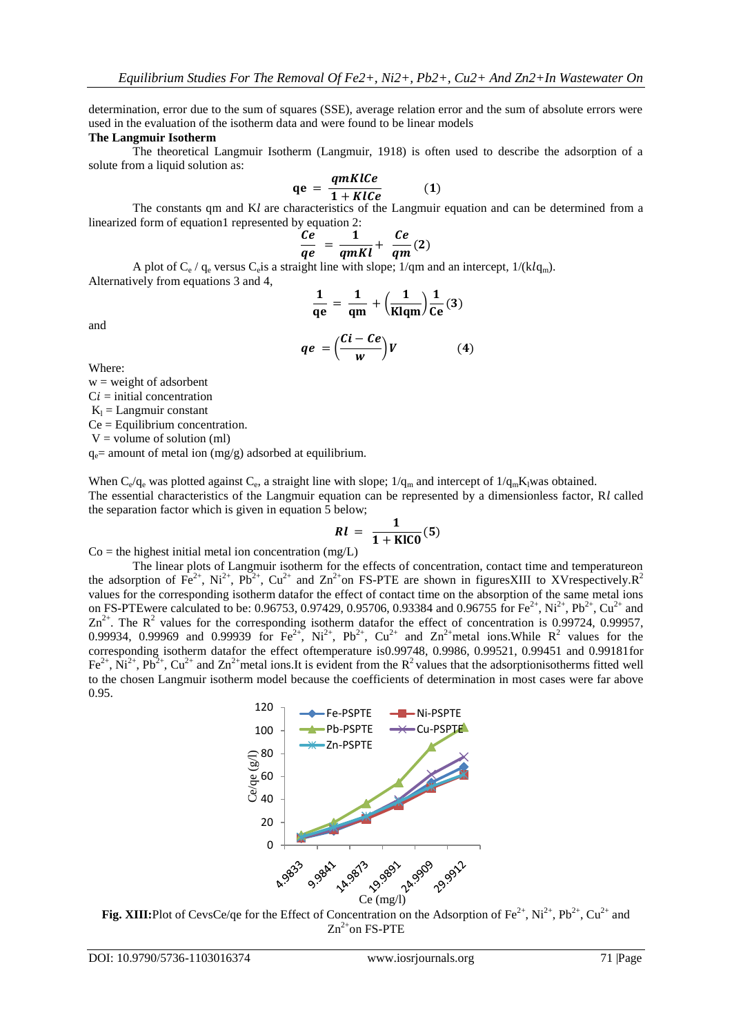determination, error due to the sum of squares (SSE), average relation error and the sum of absolute errors were used in the evaluation of the isotherm data and were found to be linear models

#### **The Langmuir Isotherm**

The theoretical Langmuir Isotherm (Langmuir, 1918) is often used to describe the adsorption of a solute from a liquid solution as:

$$
qe = \frac{qmKlCe}{1+KlCe} \tag{1}
$$

The constants qm and  $Kl$  are characteristics of the Langmuir equation and can be determined from a linearized form of equation1 represented by equation 2:

$$
\frac{Ce}{qe} = \frac{1}{qmKl} + \frac{Ce}{qm}(2)
$$

A plot of  $C_e$  /  $q_e$  versus  $C_e$  is a straight line with slope; 1/qm and an intercept, 1/(klq<sub>m</sub>). Alternatively from equations 3 and 4,

$$
\frac{1}{qe} = \frac{1}{qm} + \left(\frac{1}{Klqm}\right)\frac{1}{Ce}(3)
$$

and

$$
qe = \left(\frac{Ci - Ce}{w}\right)V\tag{4}
$$

Where:

 $w = weight of adsor bent$ 

 $Ci = initial concentration$ 

 $K_1 =$  Langmuir constant

Ce = Equilibrium concentration.

 $V =$  volume of solution (ml)

 $q_e$  = amount of metal ion (mg/g) adsorbed at equilibrium.

When  $C_e/q_e$  was plotted against  $C_e$ , a straight line with slope;  $1/q_m$  and intercept of  $1/q_mK_l$ was obtained. The essential characteristics of the Langmuir equation can be represented by a dimensionless factor,  $R_l$  called the separation factor which is given in equation 5 below;

$$
RI = \frac{1}{1 + \text{KICO}}(5)
$$

 $Co$  = the highest initial metal ion concentration (mg/L)

The linear plots of Langmuir isotherm for the effects of concentration, contact time and temperatureon the adsorption of  $Fe^{2+}$ ,  $Ni^{2+}$ ,  $Pb^{2+}$ ,  $Cu^{2+}$  and  $Zn^{2+}$ on FS-PTE are shown in figuresXIII to XVrespectively. $R^2$ values for the corresponding isotherm datafor the effect of contact time on the absorption of the same metal ions on FS-PTEwere calculated to be: 0.96753, 0.97429, 0.95706, 0.93384 and 0.96755 for Fe<sup>2+</sup>, Ni<sup>2+</sup>, Pb<sup>2+</sup>, Cu<sup>2+</sup> and  $\text{Zn}^{2+}$ . The R<sup>2</sup> values for the corresponding isotherm datafor the effect of concentration is 0.99724, 0.99957, 0.99934, 0.99969 and 0.99939 for  $\text{Fe}^{2+}$ ,  $\text{Ni}^{2+}$ ,  $\text{Pb}^{2+}$ ,  $\text{Cu}^{2+}$  and  $\text{Zn}^{2+}$  metal ions. While  $\text{R}^2$  values for the corresponding isotherm datafor the effect oftemperature is0.99748, 0.9986, 0.99521, 0.99451 and 0.99181for  $\text{Fe}^{2+}$ ,  $\text{Ni}^{2+}$ ,  $\text{Pb}^{2+}$ ,  $\text{Cu}^{2+}$  and  $\text{Zn}^{2+}$  metal ions. It is evident from the R<sup>2</sup> values that the adsorptionisotherms fitted well to the chosen Langmuir isotherm model because the coefficients of determination in most cases were far above 0.95.



**Fig. XIII:**Plot of CevsCe/qe for the Effect of Concentration on the Adsorption of Fe<sup>2+</sup>, Ni<sup>2+</sup>, Pb<sup>2+</sup>, Cu<sup>2+</sup> and  $Zn^{2+}$ on FS-PTE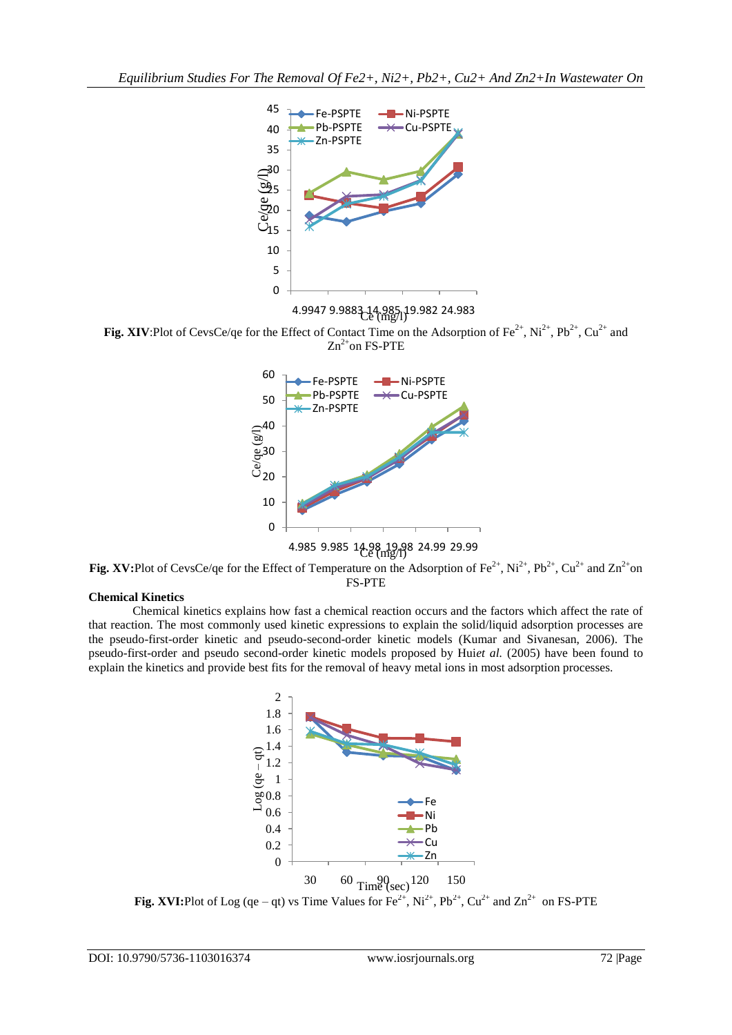

4.9947 9.9883 14.985 19.982 24.983  $\mathbb{C}e$  (mg/l)

**Fig. XIV:**Plot of CevsCe/qe for the Effect of Contact Time on the Adsorption of Fe<sup>2+</sup>, Ni<sup>2+</sup>, Pb<sup>2+</sup>, Cu<sup>2+</sup> and  $Zn^{2+}$ on FS-PTE



**Fig. XV:**Plot of CevsCe/qe for the Effect of Temperature on the Adsorption of Fe<sup>2+</sup>, Ni<sup>2+</sup>, Pb<sup>2+</sup>, Cu<sup>2+</sup> and Zn<sup>2+</sup>on FS-PTE

# **Chemical Kinetics**

Chemical kinetics explains how fast a chemical reaction occurs and the factors which affect the rate of that reaction. The most commonly used kinetic expressions to explain the solid/liquid adsorption processes are the pseudo-first-order kinetic and pseudo-second-order kinetic models (Kumar and Sivanesan, 2006). The pseudo-first-order and pseudo second-order kinetic models proposed by Hui*et al.* (2005) have been found to explain the kinetics and provide best fits for the removal of heavy metal ions in most adsorption processes.



**Fig. XVI:**Plot of Log (qe – qt) vs Time Values for  $Fe^{2+}$ ,  $Ni^{2+}$ ,  $Pb^{2+}$ ,  $Cu^{2+}$  and  $Zn^{2+}$  on FS-PTE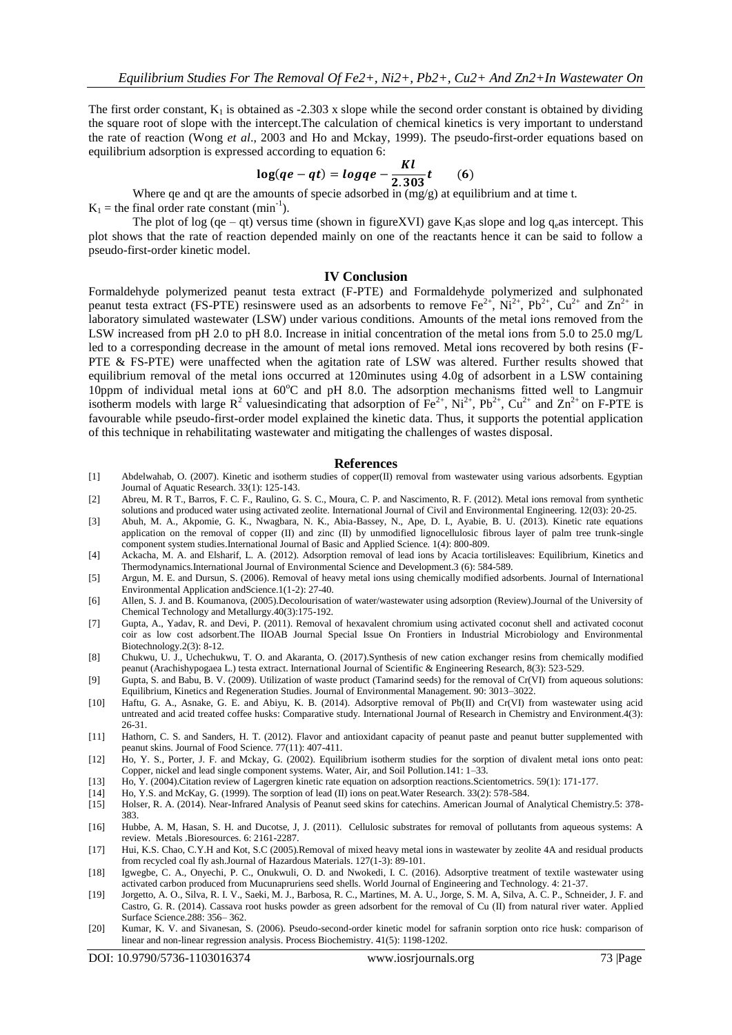The first order constant,  $K_1$  is obtained as -2.303 x slope while the second order constant is obtained by dividing the square root of slope with the intercept.The calculation of chemical kinetics is very important to understand the rate of reaction (Wong *et al*., 2003 and Ho and Mckay, 1999). The pseudo-first-order equations based on equilibrium adsorption is expressed according to equation 6:

$$
\log(qe - qt) = logqe - \frac{Kl}{2.303}t \qquad (6)
$$

Where qe and qt are the amounts of specie adsorbed in (mg/g) at equilibrium and at time t.

 $K_1$  = the final order rate constant (min<sup>-1</sup>).

The plot of log (qe – qt) versus time (shown in figureXVI) gave  $K_i$ as slope and log q<sub>e</sub>as intercept. This plot shows that the rate of reaction depended mainly on one of the reactants hence it can be said to follow a pseudo-first-order kinetic model.

#### **IV Conclusion**

Formaldehyde polymerized peanut testa extract (F-PTE) and Formaldehyde polymerized and sulphonated peanut testa extract (FS-PTE) resinswere used as an adsorbents to remove  $Fe^{2+}$ , Ni<sup>2+</sup>, Pb<sup>2+</sup>, Cu<sup>2+</sup> and Zn<sup>2+</sup> in laboratory simulated wastewater (LSW) under various conditions. Amounts of the metal ions removed from the LSW increased from pH 2.0 to pH 8.0. Increase in initial concentration of the metal ions from 5.0 to 25.0 mg/L led to a corresponding decrease in the amount of metal ions removed. Metal ions recovered by both resins (F-PTE & FS-PTE) were unaffected when the agitation rate of LSW was altered. Further results showed that equilibrium removal of the metal ions occurred at 120minutes using 4.0g of adsorbent in a LSW containing 10ppm of individual metal ions at  $60^{\circ}$ C and pH 8.0. The adsorption mechanisms fitted well to Langmuir isotherm models with large  $R^2$  valuesindicating that adsorption of  $Fe^{2+}$ ,  $Ni^{2+}$ ,  $Pb^{2+}$ ,  $Cu^{2+}$  and  $Zn^{2+}$  on F-PTE is favourable while pseudo-first-order model explained the kinetic data. Thus, it supports the potential application of this technique in rehabilitating wastewater and mitigating the challenges of wastes disposal.

#### **References**

- [1] Abdelwahab, O. (2007). Kinetic and isotherm studies of copper(II) removal from wastewater using various adsorbents. Egyptian Journal of Aquatic Research. 33(1): 125-143.
- [2] Abreu, M. R T., Barros, F. C. F., Raulino, G. S. C., Moura, C. P. and Nascimento, R. F. (2012). Metal ions removal from synthetic solutions and produced water using activated zeolite. International Journal of Civil and Environmental Engineering. 12(03): 20-25.
- [3] Abuh, M. A., Akpomie, G. K., Nwagbara, N. K., Abia-Bassey, N., Ape, D. I., Ayabie, B. U. (2013). Kinetic rate equations application on the removal of copper (II) and zinc (II) by unmodified lignocellulosic fibrous layer of palm tree trunk-single component system studies.International Journal of Basic and Applied Science. 1(4): 800-809.
- [4] Ackacha, M. A. and Elsharif, L. A. (2012). Adsorption removal of lead ions by Acacia tortilisleaves: Equilibrium, Kinetics and Thermodynamics.International Journal of Environmental Science and Development.3 (6): 584-589.
- [5] Argun, M. E. and Dursun, S. (2006). Removal of heavy metal ions using chemically modified adsorbents. Journal of International Environmental Application andScience.1(1-2): 27-40.
- [6] Allen, S. J. and B. Koumanova, (2005).Decolourisation of water/wastewater using adsorption (Review).Journal of the University of Chemical Technology and Metallurgy.40(3):175-192.
- [7] Gupta, A., Yadav, R. and Devi, P. (2011). Removal of hexavalent chromium using activated coconut shell and activated coconut coir as low cost adsorbent.The IIOAB Journal Special Issue On Frontiers in Industrial Microbiology and Environmental Biotechnology.2(3): 8-12.
- [8] Chukwu, U. J., Uchechukwu, T. O. and Akaranta, O. (2017).Synthesis of new cation exchanger resins from chemically modified peanut (Arachishypogaea L.) testa extract. International Journal of Scientific & Engineering Research, 8(3): 523-529.
- [9] Gupta, S. and Babu, B. V. (2009). Utilization of waste product (Tamarind seeds) for the removal of Cr(VI) from aqueous solutions: Equilibrium, Kinetics and Regeneration Studies. Journal of Environmental Management. 90: 3013–3022.
- [10] Haftu, G. A., Asnake, G. E. and Abiyu, K. B. (2014). Adsorptive removal of Pb(II) and Cr(VI) from wastewater using acid untreated and acid treated coffee husks: Comparative study. International Journal of Research in Chemistry and Environment.4(3): 26-31.
- [11] Hathorn, C. S. and Sanders, H. T. (2012). Flavor and antioxidant capacity of peanut paste and peanut butter supplemented with peanut skins. Journal of Food Science. 77(11): 407-411.
- [12] Ho, Y. S., Porter, J. F. and Mckay, G. (2002). Equilibrium isotherm studies for the sorption of divalent metal ions onto peat: Copper, nickel and lead single component systems. Water, Air, and Soil Pollution.141: 1–33.
- [13] Ho, Y. (2004).Citation review of Lagergren kinetic rate equation on adsorption reactions.Scientometrics. 59(1): 171-177.
- [14] Ho, Y.S. and McKay, G. (1999). The sorption of lead (II) ions on peat.Water Research. 33(2): 578-584.
- [15] Holser, R. A. (2014). Near-Infrared Analysis of Peanut seed skins for catechins. American Journal of Analytical Chemistry.5: 378- 383.
- [16] Hubbe, A. M, Hasan, S. H. and Ducotse, J, J. (2011). Cellulosic substrates for removal of pollutants from aqueous systems: A review. Metals .Bioresources. 6: 2161-2287.
- [17] Hui, K.S. Chao, C.Y.H and Kot, S.C (2005).Removal of mixed heavy metal ions in wastewater by zeolite 4A and residual products from recycled coal fly ash.Journal of Hazardous Materials. 127(1-3): 89-101.
- [18] Igwegbe, C. A., Onyechi, P. C., Onukwuli, O. D. and Nwokedi, I. C. (2016). Adsorptive treatment of textile wastewater using activated carbon produced from Mucunapruriens seed shells. World Journal of Engineering and Technology. 4: 21-37.
- [19] Jorgetto, A. O., Silva, R. I. V., Saeki, M. J., Barbosa, R. C., Martines, M. A. U., Jorge, S. M. A, Silva, A. C. P., Schneider, J. F. and Castro, G. R. (2014). Cassava root husks powder as green adsorbent for the removal of Cu (II) from natural river water. Applied Surface Science.288: 356– 362.
- [20] Kumar, K. V. and Sivanesan, S. (2006). Pseudo-second-order kinetic model for safranin sorption onto rice husk: comparison of linear and non-linear regression analysis. Process Biochemistry. 41(5): 1198-1202.